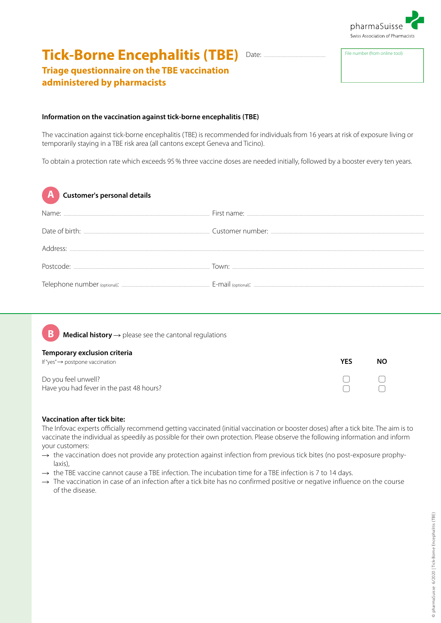

## **Tick-Borne Encephalitis (TBE)** Date: File number (from online tool) ................................................................................

# **Triage questionnaire on the TBE vaccination administered by pharmacists**

### **Information on the vaccination against tick-borne encephalitis (TBE)**

The vaccination against tick-borne encephalitis (TBE) is recommended for individuals from 16 years at risk of exposure living or temporarily staying in a TBE risk area (all cantons except Geneva and Ticino).

To obtain a protection rate which exceeds 95% three vaccine doses are needed initially, followed by a booster every ten years.

| $\overline{A}$<br>Customer's personal details |  |
|-----------------------------------------------|--|
|                                               |  |
|                                               |  |
|                                               |  |
|                                               |  |
|                                               |  |



**Medical history** → please see the cantonal regulations

#### **Temporary exclusion criteria**

| If "yes" $\rightarrow$ postpone vaccination | YES | NΟ |
|---------------------------------------------|-----|----|
| Do you feel unwell?                         |     |    |
| Have you had fever in the past 48 hours?    |     |    |

## **Vaccination after tick bite:**

The Infovac experts officially recommend getting vaccinated (initial vaccination or booster doses) after a tick bite. The aim is to vaccinate the individual as speedily as possible for their own protection. Please observe the following information and inform your customers:

- $\rightarrow$  the vaccination does not provide any protection against infection from previous tick bites (no post-exposure prophylaxis),
- $\rightarrow$  the TBE vaccine cannot cause a TBE infection. The incubation time for a TBE infection is 7 to 14 days.
- $\rightarrow$  The vaccination in case of an infection after a tick bite has no confirmed positive or negative influence on the course of the disease.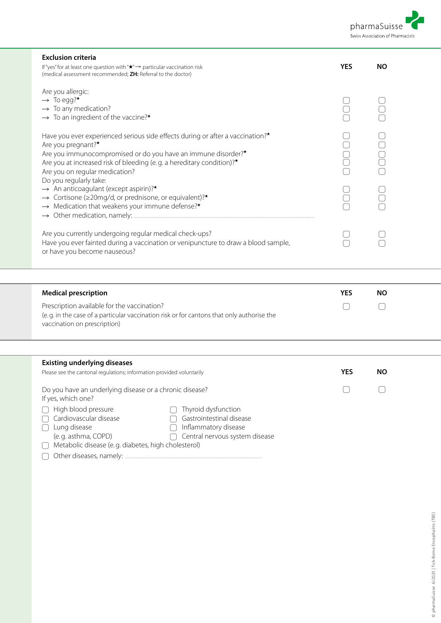

| <b>Exclusion criteria</b><br>If "yes" for at least one question with " $\star$ " $\rightarrow$ particular vaccination risk                                                                                                                                                                                                                | <b>YES</b> | <b>NO</b> |  |
|-------------------------------------------------------------------------------------------------------------------------------------------------------------------------------------------------------------------------------------------------------------------------------------------------------------------------------------------|------------|-----------|--|
| (medical assessment recommended; ZH: Referral to the doctor)                                                                                                                                                                                                                                                                              |            |           |  |
| Are you allergic:<br>$\rightarrow$ To egg?*<br>$\rightarrow$ To any medication?<br>$\rightarrow$ To an ingredient of the vaccine?*                                                                                                                                                                                                        |            |           |  |
| Have you ever experienced serious side effects during or after a vaccination? <sup>*</sup><br>Are you pregnant?*<br>Are you immunocompromised or do you have an immune disorder?*<br>Are you at increased risk of bleeding (e.g. a hereditary condition)?*<br>Are you on regular medication?                                              |            |           |  |
| Do you regularly take:<br>$\rightarrow$ An anticoagulant (except aspirin)?*<br>$\rightarrow$ Cortisone ( $\geq$ 20mg/d, or prednisone, or equivalent)?*<br>$\rightarrow$ Medication that weakens your immune defense?*<br>$\rightarrow$ Other medication, namely:                                                                         |            |           |  |
| Are you currently undergoing regular medical check-ups?<br>Have you ever fainted during a vaccination or venipuncture to draw a blood sample,<br>or have you become nauseous?                                                                                                                                                             |            |           |  |
|                                                                                                                                                                                                                                                                                                                                           |            |           |  |
| <b>Medical prescription</b>                                                                                                                                                                                                                                                                                                               | <b>YES</b> | <b>NO</b> |  |
| Prescription available for the vaccination?<br>(e.g. in the case of a particular vaccination risk or for cantons that only authorise the<br>vaccination on prescription)                                                                                                                                                                  |            |           |  |
|                                                                                                                                                                                                                                                                                                                                           |            |           |  |
| <b>Existing underlying diseases</b><br>Please see the cantonal regulations; information provided voluntarily                                                                                                                                                                                                                              | <b>YES</b> | <b>NO</b> |  |
| Do you have an underlying disease or a chronic disease?<br>If yes, which one?<br>High blood pressure<br>Thyroid dysfunction<br>Cardiovascular disease<br>Gastrointestinal disease<br>Inflammatory disease<br>Lung disease<br>Central nervous system disease<br>(e.g. asthma, COPD)<br>Metabolic disease (e.g. diabetes, high cholesterol) |            |           |  |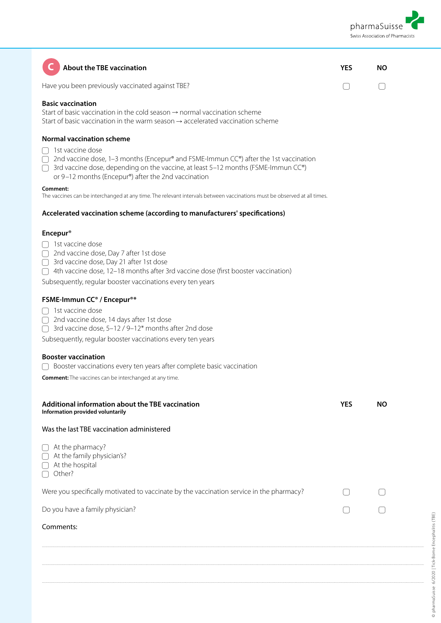

| <b>About the TBE vaccination</b>                                                                                                                                                                                                                                                                                                                                                                                                                                                                                             | YES        | <b>NO</b> |
|------------------------------------------------------------------------------------------------------------------------------------------------------------------------------------------------------------------------------------------------------------------------------------------------------------------------------------------------------------------------------------------------------------------------------------------------------------------------------------------------------------------------------|------------|-----------|
| Have you been previously vaccinated against TBE?                                                                                                                                                                                                                                                                                                                                                                                                                                                                             |            |           |
| <b>Basic vaccination</b><br>Start of basic vaccination in the cold season $\rightarrow$ normal vaccination scheme<br>Start of basic vaccination in the warm season $\rightarrow$ accelerated vaccination scheme                                                                                                                                                                                                                                                                                                              |            |           |
| <b>Normal vaccination scheme</b><br>1st vaccine dose<br>2nd vaccine dose, 1–3 months (Encepur® and FSME-Immun CC®) after the 1st vaccination<br>$\bigcap$<br>3rd vaccine dose, depending on the vaccine, at least 5-12 months (FSME-Immun CC®)<br>or 9-12 months (Encepur®) after the 2nd vaccination<br>Comment:<br>The vaccines can be interchanged at any time. The relevant intervals between vaccinations must be observed at all times.<br>Accelerated vaccination scheme (according to manufacturers' specifications) |            |           |
|                                                                                                                                                                                                                                                                                                                                                                                                                                                                                                                              |            |           |
| <b>Encepur<sup>®</sup></b><br>$\bigcap$ 1st vaccine dose<br>□ 2nd vaccine dose, Day 7 after 1st dose<br>◯ 3rd vaccine dose, Day 21 after 1st dose<br>∩ 4th vaccine dose, 12-18 months after 3rd vaccine dose (first booster vaccination)<br>Subsequently, regular booster vaccinations every ten years<br>FSME-Immun CC <sup>®</sup> / Encepur <sup>®*</sup>                                                                                                                                                                 |            |           |
| $\bigcap$ 1st vaccine dose<br>□ 2nd vaccine dose, 14 days after 1st dose<br>□ 3rd vaccine dose, 5-12 / 9-12* months after 2nd dose                                                                                                                                                                                                                                                                                                                                                                                           |            |           |
| Subsequently, regular booster vaccinations every ten years<br><b>Booster vaccination</b>                                                                                                                                                                                                                                                                                                                                                                                                                                     |            |           |
| Booster vaccinations every ten years after complete basic vaccination<br><b>Comment:</b> The vaccines can be interchanged at any time.                                                                                                                                                                                                                                                                                                                                                                                       |            |           |
| Additional information about the TBE vaccination<br>Information provided voluntarily                                                                                                                                                                                                                                                                                                                                                                                                                                         | <b>YES</b> | NO.       |
| Was the last TBE vaccination administered                                                                                                                                                                                                                                                                                                                                                                                                                                                                                    |            |           |
| $\bigcap$ At the pharmacy?<br>At the family physician's?<br>At the hospital<br>Other?                                                                                                                                                                                                                                                                                                                                                                                                                                        |            |           |
| Were you specifically motivated to vaccinate by the vaccination service in the pharmacy?                                                                                                                                                                                                                                                                                                                                                                                                                                     |            |           |
| Do you have a family physician?                                                                                                                                                                                                                                                                                                                                                                                                                                                                                              |            |           |
| Comments:                                                                                                                                                                                                                                                                                                                                                                                                                                                                                                                    |            |           |
|                                                                                                                                                                                                                                                                                                                                                                                                                                                                                                                              |            |           |
|                                                                                                                                                                                                                                                                                                                                                                                                                                                                                                                              |            |           |
|                                                                                                                                                                                                                                                                                                                                                                                                                                                                                                                              |            |           |

..............................................................................................................................................................................................................................................................................................................................................................................................................................................................................................................